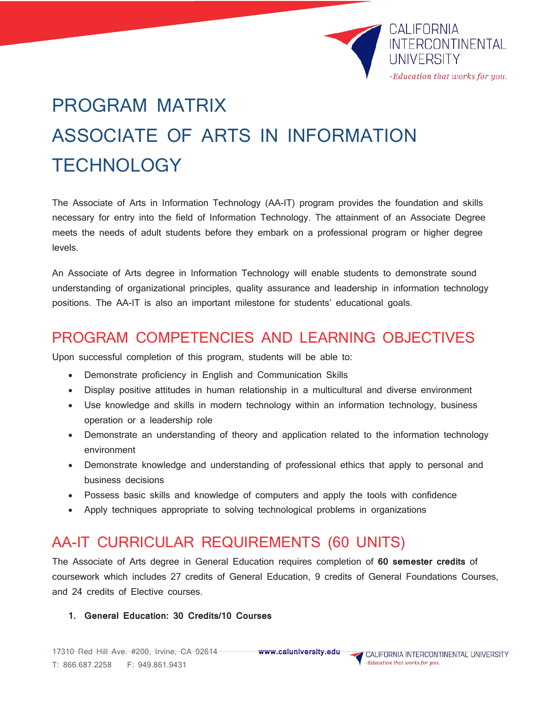

# PROGRAM MATRIX ASSOCIATE OF ARTS IN INFORMATION **TECHNOLOGY**

The Associate of Arts in Information Technology (AA-IT) program provides the foundation and skills necessary for entry into the field of Information Technology. The attainment of an Associate Degree meets the needs of adult students before they embark on a professional program or higher degree levels.

An Associate of Arts degree in Information Technology will enable students to demonstrate sound understanding of organizational principles, quality assurance and leadership in information technology positions. The AA-IT is also an important milestone for students' educational goals.

### PROGRAM COMPETENCIES AND LEARNING OBJECTIVES

Upon successful completion of this program, students will be able to:

- Demonstrate proficiency in English and Communication Skills
- Display positive attitudes in human relationship in a multicultural and diverse environment
- Use knowledge and skills in modern technology within an information technology, business operation or a leadership role
- Demonstrate an understanding of theory and application related to the information technology environment
- Demonstrate knowledge and understanding of professional ethics that apply to personal and business decisions
- Possess basic skills and knowledge of computers and apply the tools with confidence
- Apply techniques appropriate to solving technological problems in organizations

# AA-IT CURRICULAR REQUIREMENTS (60 UNITS)

The Associate of Arts degree in General Education requires completion of **60 semester credits** of coursework which includes 27 credits of General Education, 9 credits of General Foundations Courses, and 24 credits of Elective courses.

#### **1. General Education: 30 Credits/10 Courses**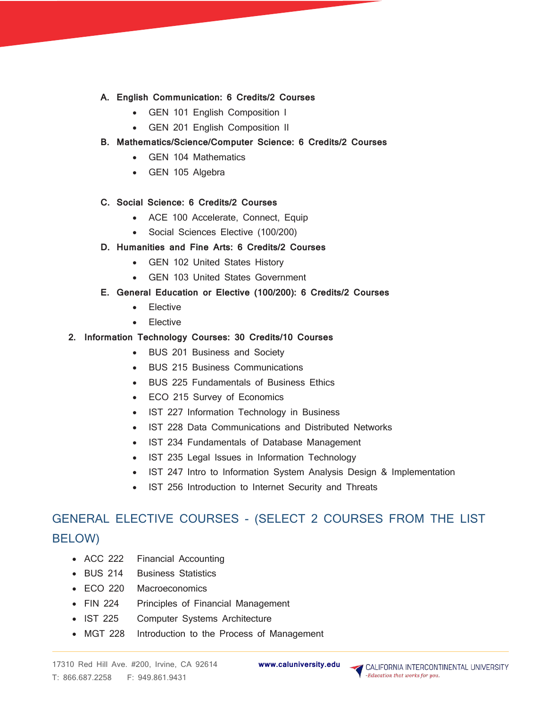- **A. English Communication: 6 Credits/2 Courses**
	- GEN 101 English Composition I
	- GEN 201 English Composition II
- **B. Mathematics/Science/Computer Science: 6 Credits/2 Courses**
	- GEN 104 Mathematics
	- GEN 105 Algebra
- **C. Social Science: 6 Credits/2 Courses**
	- ACE 100 Accelerate, Connect, Equip
	- Social Sciences Elective (100/200)
- **D. Humanities and Fine Arts: 6 Credits/2 Courses**
	- GEN 102 United States History
	- GEN 103 United States Government
- **E. General Education or Elective (100/200): 6 Credits/2 Courses**
	- Elective
	- Elective
- **2. Information Technology Courses: 30 Credits/10 Courses**
	- BUS 201 Business and Society
	- BUS 215 Business Communications
	- BUS 225 Fundamentals of Business Ethics
	- ECO 215 Survey of Economics
	- IST 227 Information Technology in Business
	- IST 228 Data Communications and Distributed Networks
	- IST 234 Fundamentals of Database Management
	- IST 235 Legal Issues in Information Technology
	- IST 247 Intro to Information System Analysis Design & Implementation
	- IST 256 Introduction to Internet Security and Threats

## GENERAL ELECTIVE COURSES - (SELECT 2 COURSES FROM THE LIST BELOW)

- ACC 222 Financial Accounting
- BUS 214 Business Statistics
- ECO 220 Macroeconomics
- FIN 224 Principles of Financial Management
- IST 225 Computer Systems Architecture
- MGT 228 Introduction to the Process of Management